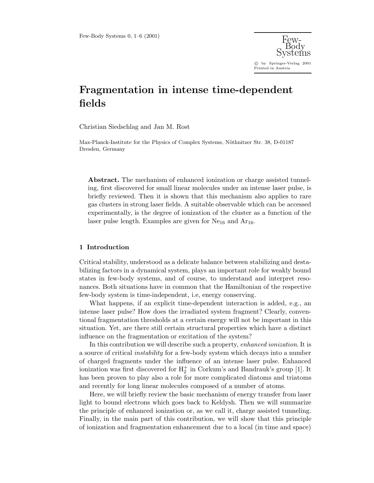

# **Fragmentation in intense time-dependent fields**

Christian Siedschlag and Jan M. Rost

Max-Planck-Institute for the Physics of Complex Systems, Nöthnitzer Str. 38, D-01187 Dresden, Germany

**Abstract.** The mechanism of enhanced ionization or charge assisted tunneling, first discovered for small linear molecules under an intense laser pulse, is briefly reviewed. Then it is shown that this mechanism also applies to rare gas clusters in strong laser fields. A suitable observable which can be accessed experimentally, is the degree of ionization of the cluster as a function of the laser pulse length. Examples are given for  $Ne_{16}$  and  $Ar_{16}$ .

### **1 Introduction**

Critical stability, understood as a delicate balance between stabilizing and destabilizing factors in a dynamical system, plays an important role for weakly bound states in few-body systems, and of course, to understand and interpret resonances. Both situations have in common that the Hamiltonian of the respective few-body system is time-independent, i.e, energy conserving.

What happens, if an explicit time-dependent interaction is added, e.g., an intense laser pulse? How does the irradiated system fragment? Clearly, conventional fragmentation thresholds at a certain energywill not be important in this situation. Yet, are there still certain structural properties which have a distinct influence on the fragmentation or excitation of the system?

In this contribution we will describe such a property, *enhanced ionization*. It is a source of critical instability for a few-body system which decays into a number of charged fragments under the influence of an intense laser pulse. Enhanced ionization was first discovered for  $H_2^+$  in Corkum's and Bandrauk's group [1]. It has been proven to play also a role for more complicated diatoms and triatoms and recently for long linear molecules composed of a number of atoms.

Here, we will briefly review the basic mechanism of energy transfer from laser light to bound electrons which goes back to Keldysh. Then we will summarize the principle of enhanced ionization or, as we call it, charge assisted tunneling. Finally, in the main part of this contribution, we will show that this principle of ionization and fragmentation enhancement due to a local (in time and space)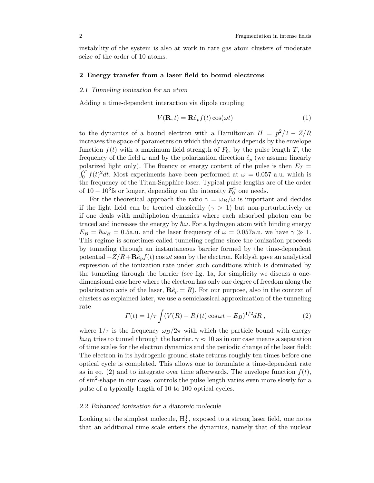instabilityof the system is also at work in rare gas atom clusters of moderate seize of the order of 10 atoms.

#### **2 Energy transfer from a laser field to bound electrons**

## *2.1 Tunneling ionization for an atom*

Adding a time-dependent interaction via dipole coupling

$$
V(\mathbf{R},t) = \mathbf{R}\hat{e}_p f(t) \cos(\omega t)
$$
 (1)

to the dynamics of a bound electron with a Hamiltonian  $H = p^2/2 - Z/R$ increases the space of parameters on which the dynamics depends by the envelope function  $f(t)$  with a maximum field strength of  $F_0$ , by the pulse length T, the frequency of the field  $\omega$  and by the polarization direction  $\hat{e}_p$  (we assume linearly polarized light only). The fluency or energy content of the pulse is then  $E_T =$  $\int_0^T f(t)^2 dt$ . Most experiments have been performed at  $\omega = 0.057$  a.u. which is the frequency of the Titan-Sapphire laser. Typical pulse lengths are of the order of  $10-10^3$ fs or longer, depending on the intensity  $F_0^2$  one needs.

For the theoretical approach the ratio  $\gamma = \omega_B/\omega$  is important and decides if the light field can be treated classically ( $\gamma > 1$ ) but non-perturbatively or if one deals with multiphoton dynamics where each absorbed photon can be traced and increases the energy by  $\hbar\omega$ . For a hydrogen atom with binding energy  $E_B = \hbar \omega_B = 0.5$ a.u. and the laser frequency of  $\omega = 0.057$ a.u. we have  $\gamma \gg 1$ . This regime is sometimes called tunneling regime since the ionization proceeds bytunneling through an instantaneous barrier formed bythe time-dependent potential  $-Z/R + \mathbf{R}\hat{e}_p f(t) \cos \omega t$  seen by the electron. Keldysh gave an analytical expression of the ionization rate under such conditions which is dominated by the tunneling through the barrier (see fig. 1a, for simplicity we discuss a onedimensional case here where the electron has onlyone degree of freedom along the polarization axis of the laser,  $\mathbf{R}\hat{e}_p = R$ ). For our purpose, also in the context of clusters as explained later, we use a semiclassical approximation of the tunneling rate

$$
\Gamma(t) = 1/\tau \int (V(R) - Rf(t)\cos\omega t - E_B)^{1/2} dR , \qquad (2)
$$

where  $1/\tau$  is the frequency  $\omega_B/2\pi$  with which the particle bound with energy  $\hbar\omega_B$  tries to tunnel through the barrier.  $\gamma \approx 10$  as in our case means a separation of time scales for the electron dynamics and the periodic change of the laser field: The electron in its hydrogenic ground state returns roughly ten times before one optical cycle is completed. This allows one to formulate a time-dependent rate as in eq. (2) and to integrate over time afterwards. The envelope function  $f(t)$ , of  $\sin^2$ -shape in our case, controls the pulse length varies even more slowly for a pulse of a typically length of 10 to 100 optical cycles.

## *2.2 Enhanced ionization for a diatomic molecule*

Looking at the simplest molecule,  $H_2^+$ , exposed to a strong laser field, one notes that an additional time scale enters the dynamics, namely that of the nuclear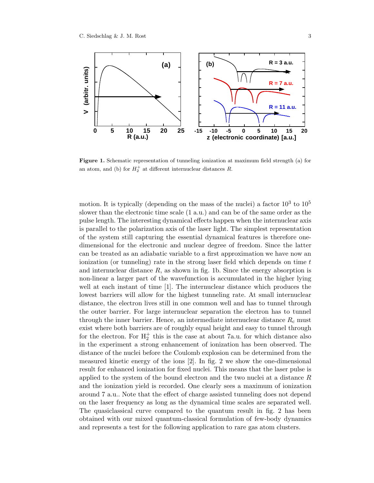

**Figure 1.** Schematic representation of tunneling ionization at maximum field strength (a) for an atom, and (b) for  $H_2^+$  at different internuclear distances R.

motion. It is typically (depending on the mass of the nuclei) a factor  $10^3$  to  $10^5$ slower than the electronic time scale (1 a.u.) and can be of the same order as the pulse length. The interesting dynamical effects happen when the internuclear axis is parallel to the polarization axis of the laser light. The simplest representation of the system still capturing the essential dynamical features is therefore onedimensional for the electronic and nuclear degree of freedom. Since the latter can be treated as an adiabatic variable to a first approximation we have now an ionization (or tunneling) rate in the strong laser field which depends on time  $t$ and internuclear distance  $R$ , as shown in fig. 1b. Since the energy absorption is non-linear a larger part of the wavefunction is accumulated in the higher lying well at each instant of time [1]. The internuclear distance which produces the lowest barriers will allow for the highest tunneling rate. At small internuclear distance, the electron lives still in one common well and has to tunnel through the outer barrier. For large internuclear separation the electron has to tunnel through the inner barrier. Hence, an intermediate internuclear distance  $R_c$  must exist where both barriers are of roughlyequal height and easyto tunnel through for the electron. For  $H_2^+$  this is the case at about 7a.u. for which distance also in the experiment a strong enhancement of ionization has been observed. The distance of the nuclei before the Coulomb explosion can be determined from the measured kinetic energy of the ions  $[2]$ . In fig. 2 we show the one-dimensional result for enhanced ionization for fixed nuclei. This means that the laser pulse is applied to the system of the bound electron and the two nuclei at a distance  $R$ and the ionization yield is recorded. One clearly sees a maximum of ionization around 7 a.u.. Note that the effect of charge assisted tunneling does not depend on the laser frequencyas long as the dynamical time scales are separated well. The quasiclassical curve compared to the quantum result in fig. 2 has been obtained with our mixed quantum-classical formulation of few-bodydynamics and represents a test for the following application to rare gas atom clusters.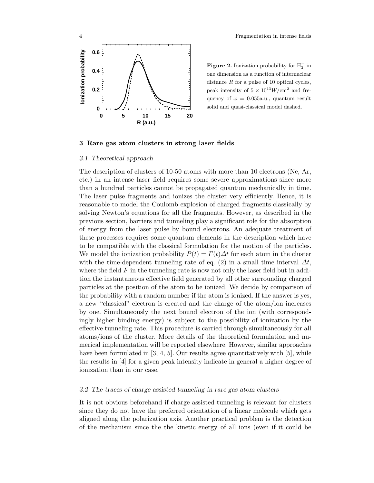

**Figure 2.** Ionization probability for  $H_2^+$  in one dimension as a function of internuclear distance  $R$  for a pulse of 10 optical cycles, peak intensity of  $5 \times 10^{13} W/cm^2$  and frequency of  $\omega = 0.055$ a.u., quantum result solid and quasi-classical model dashed.

### **3 Rare gas atom clusters in strong laser fields**

#### *3.1 Theoretical approach*

The description of clusters of 10-50 atoms with more than 10 electrons (Ne, Ar, etc.) in an intense laser field requires some severe approximations since more than a hundred particles cannot be propagated quantum mechanically in time. The laser pulse fragments and ionizes the cluster veryefficiently. Hence, it is reasonable to model the Coulomb explosion of charged fragments classicallyby solving Newton's equations for all the fragments. However, as described in the previous section, barriers and tunneling playa significant role for the absorption of energy from the laser pulse by bound electrons. An adequate treatment of these processes requires some quantum elements in the description which have to be compatible with the classical formulation for the motion of the particles. We model the ionization probability  $P(t) = \Gamma(t)\Delta t$  for each atom in the cluster with the time-dependent tunneling rate of eq. (2) in a small time interval  $\Delta t$ , where the field  $F$  in the tunneling rate is now not only the laser field but in addition the instantaneous effective field generated byall other surrounding charged particles at the position of the atom to be ionized. We decide bycomparison of the probabilitywith a random number if the atom is ionized. If the answer is yes, a new "classical" electron is created and the charge of the atom/ion increases byone. Simultaneouslythe next bound electron of the ion (with correspondingly higher binding energy) is subject to the possibility of ionization by the effective tunneling rate. This procedure is carried through simultaneouslyfor all atoms/ions of the cluster. More details of the theoretical formulation and numerical implementation will be reported elsewhere. However, similar approaches have been formulated in [3, 4, 5]. Our results agree quantitatively with [5], while the results in [4] for a given peak intensity indicate in general a higher degree of ionization than in our case.

#### *3.2 The traces of charge assisted tunneling in rare gas atom clusters*

It is not obvious beforehand if charge assisted tunneling is relevant for clusters since they do not have the preferred orientation of a linear molecule which gets aligned along the polarization axis. Another practical problem is the detection of the mechanism since the the kinetic energyof all ions (even if it could be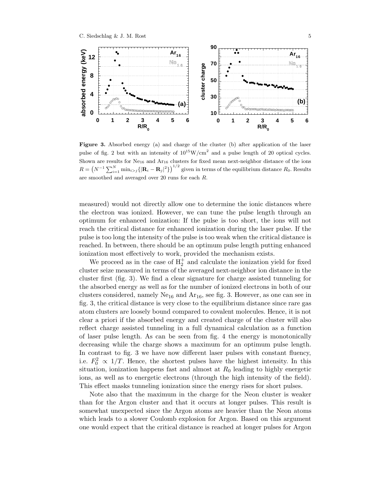

Figure 3. Absorbed energy (a) and charge of the cluster (b) after application of the laser pulse of fig. 2 but with an intensity of  $10^{15}$ W/cm<sup>2</sup> and a pulse length of 20 optical cycles. Shown are results for  $Ne_{16}$  and  $Ar_{16}$  clusters for fixed mean next-neighbor distance of the ions  $R = (N^{-1} \sum_{i=1}^{N} \min_{i > j} {\{|\mathbf{R}_i - \mathbf{R}_j|^2\}})^{1/2}$  given in terms of the equilibrium distance  $R_0$ . Results are smoothed and averaged over 20 runs for each R.

measured) would not directlyallow one to determine the ionic distances where the electron was ionized. However, we can tune the pulse length through an optimum for enhanced ionization: If the pulse is too short, the ions will not reach the critical distance for enhanced ionization during the laser pulse. If the pulse is too long the intensityof the pulse is too weak when the critical distance is reached. In between, there should be an optimum pulse length putting enhanced ionization most effectively to work, provided the mechanism exists.

We proceed as in the case of  $H_2^+$  and calculate the ionization yield for fixed cluster seize measured in terms of the averaged next-neighbor ion distance in the cluster first (fig. 3). We find a clear signature for charge assisted tunneling for the absorbed energyas well as for the number of ionized electrons in both of our clusters considered, namely  $Ne_{16}$  and  $Ar_{16}$ , see fig. 3. However, as one can see in fig. 3, the critical distance is veryclose to the equilibrium distance since rare gas atom clusters are looselybound compared to covalent molecules. Hence, it is not clear a priori if the absorbed energyand created charge of the cluster will also reflect charge assisted tunneling in a full dynamical calculation as a function of laser pulse length. As can be seen from fig. 4 the energyis monotonically decreasing while the charge shows a maximum for an optimum pulse length. In contrast to fig. 3 we have now different laser pulses with constant fluency, i.e.  $F_0^2 \propto 1/T$ . Hence, the shortest pulses have the highest intensity. In this situation, ionization happens fast and almost at  $R_0$  leading to highly energetic ions, as well as to energetic electrons (through the high intensityof the field). This effect masks tunneling ionization since the energyrises for short pulses.

Note also that the maximum in the charge for the Neon cluster is weaker than for the Argon cluster and that it occurs at longer pulses. This result is somewhat unexpected since the Argon atoms are heavier than the Neon atoms which leads to a slower Coulomb explosion for Argon. Based on this argument one would expect that the critical distance is reached at longer pulses for Argon